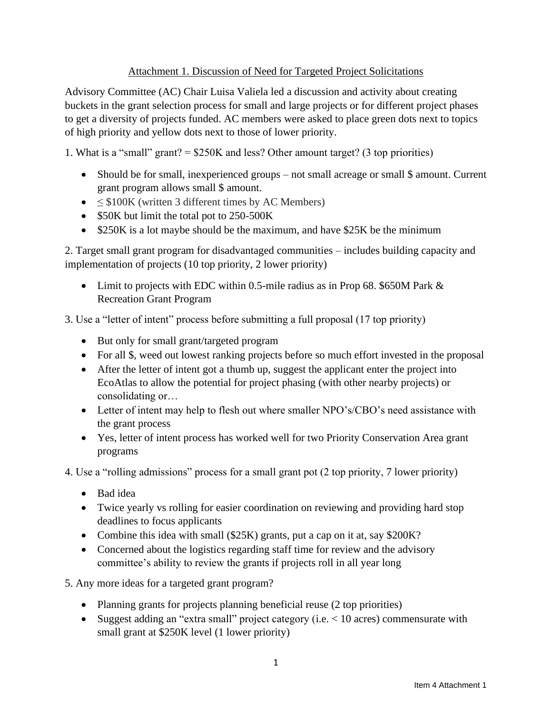## Attachment 1. Discussion of Need for Targeted Project Solicitations

Advisory Committee (AC) Chair Luisa Valiela led a discussion and activity about creating buckets in the grant selection process for small and large projects or for different project phases to get a diversity of projects funded. AC members were asked to place green dots next to topics of high priority and yellow dots next to those of lower priority.

1. What is a "small" grant? = \$250K and less? Other amount target? (3 top priorities)

- Should be for small, inexperienced groups not small acreage or small \$ amount. Current grant program allows small \$ amount.
- $\leq$  \$100K (written 3 different times by AC Members)
- \$50K but limit the total pot to 250-500K
- \$250K is a lot maybe should be the maximum, and have \$25K be the minimum

2. Target small grant program for disadvantaged communities – includes building capacity and implementation of projects (10 top priority, 2 lower priority)

• Limit to projects with EDC within 0.5-mile radius as in Prop 68. \$650M Park & Recreation Grant Program

3. Use a "letter of intent" process before submitting a full proposal (17 top priority)

- But only for small grant/targeted program
- For all \$, weed out lowest ranking projects before so much effort invested in the proposal
- After the letter of intent got a thumb up, suggest the applicant enter the project into EcoAtlas to allow the potential for project phasing (with other nearby projects) or consolidating or…
- Letter of intent may help to flesh out where smaller NPO's/CBO's need assistance with the grant process
- Yes, letter of intent process has worked well for two Priority Conservation Area grant programs

4. Use a "rolling admissions" process for a small grant pot (2 top priority, 7 lower priority)

- Bad idea
- Twice yearly vs rolling for easier coordination on reviewing and providing hard stop deadlines to focus applicants
- Combine this idea with small (\$25K) grants, put a cap on it at, say \$200K?
- Concerned about the logistics regarding staff time for review and the advisory committee's ability to review the grants if projects roll in all year long

5. Any more ideas for a targeted grant program?

- Planning grants for projects planning beneficial reuse (2 top priorities)
- Suggest adding an "extra small" project category (i.e.  $< 10$  acres) commensurate with small grant at \$250K level (1 lower priority)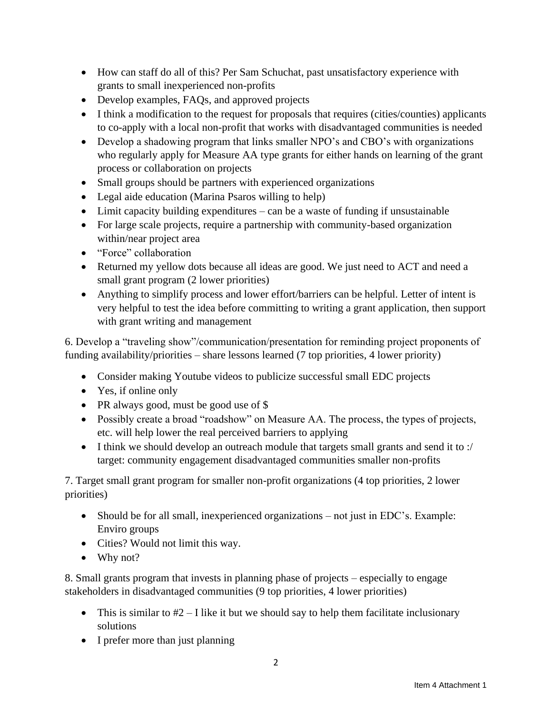- How can staff do all of this? Per Sam Schuchat, past unsatisfactory experience with grants to small inexperienced non-profits
- Develop examples, FAQs, and approved projects
- I think a modification to the request for proposals that requires (cities/counties) applicants to co-apply with a local non-profit that works with disadvantaged communities is needed
- Develop a shadowing program that links smaller NPO's and CBO's with organizations who regularly apply for Measure AA type grants for either hands on learning of the grant process or collaboration on projects
- Small groups should be partners with experienced organizations
- Legal aide education (Marina Psaros willing to help)
- Limit capacity building expenditures can be a waste of funding if unsustainable
- For large scale projects, require a partnership with community-based organization within/near project area
- "Force" collaboration
- Returned my yellow dots because all ideas are good. We just need to ACT and need a small grant program (2 lower priorities)
- Anything to simplify process and lower effort/barriers can be helpful. Letter of intent is very helpful to test the idea before committing to writing a grant application, then support with grant writing and management

6. Develop a "traveling show"/communication/presentation for reminding project proponents of funding availability/priorities – share lessons learned (7 top priorities, 4 lower priority)

- Consider making Youtube videos to publicize successful small EDC projects
- Yes, if online only
- PR always good, must be good use of \$
- Possibly create a broad "roadshow" on Measure AA. The process, the types of projects, etc. will help lower the real perceived barriers to applying
- I think we should develop an outreach module that targets small grants and send it to :/ target: community engagement disadvantaged communities smaller non-profits

7. Target small grant program for smaller non-profit organizations (4 top priorities, 2 lower priorities)

- Should be for all small, inexperienced organizations not just in EDC's. Example: Enviro groups
- Cities? Would not limit this way.
- Why not?

8. Small grants program that invests in planning phase of projects – especially to engage stakeholders in disadvantaged communities (9 top priorities, 4 lower priorities)

- This is similar to  $#2 I$  like it but we should say to help them facilitate inclusionary solutions
- I prefer more than just planning